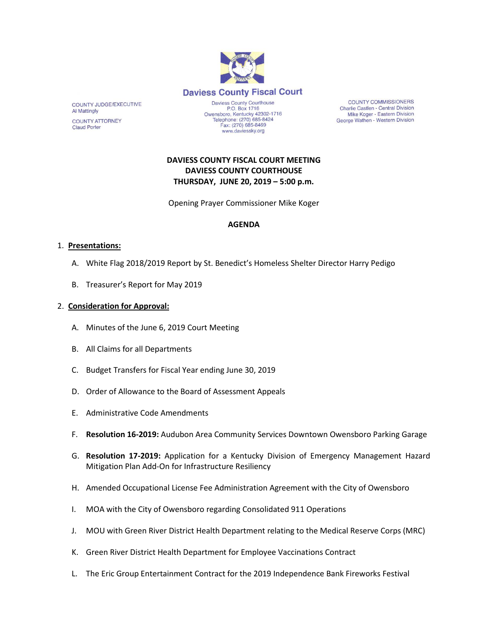

**COUNTY COMMISSIONERS** Charlie Castlen - Central Division Mike Koger - Eastern Division George Wathen - Western Division

# **DAVIESS COUNTY FISCAL COURT MEETING DAVIESS COUNTY COURTHOUSE THURSDAY, JUNE 20, 2019 – 5:00 p.m.**

www.daviessky.org

Opening Prayer Commissioner Mike Koger

#### **AGENDA**

#### 1. **Presentations:**

COUNTY JUDGE/EXECUTIVE

**COUNTY ATTORNEY** 

**Al Mattingly** 

**Claud Porter** 

- A. White Flag 2018/2019 Report by St. Benedict's Homeless Shelter Director Harry Pedigo
- B. Treasurer's Report for May 2019

#### 2. **Consideration for Approval:**

- A. Minutes of the June 6, 2019 Court Meeting
- B. All Claims for all Departments
- C. Budget Transfers for Fiscal Year ending June 30, 2019
- D. Order of Allowance to the Board of Assessment Appeals
- E. Administrative Code Amendments
- F. **Resolution 16-2019:** Audubon Area Community Services Downtown Owensboro Parking Garage
- G. **Resolution 17-2019:** Application for a Kentucky Division of Emergency Management Hazard Mitigation Plan Add-On for Infrastructure Resiliency
- H. Amended Occupational License Fee Administration Agreement with the City of Owensboro
- I. MOA with the City of Owensboro regarding Consolidated 911 Operations
- J. MOU with Green River District Health Department relating to the Medical Reserve Corps (MRC)
- K. Green River District Health Department for Employee Vaccinations Contract
- L. The Eric Group Entertainment Contract for the 2019 Independence Bank Fireworks Festival